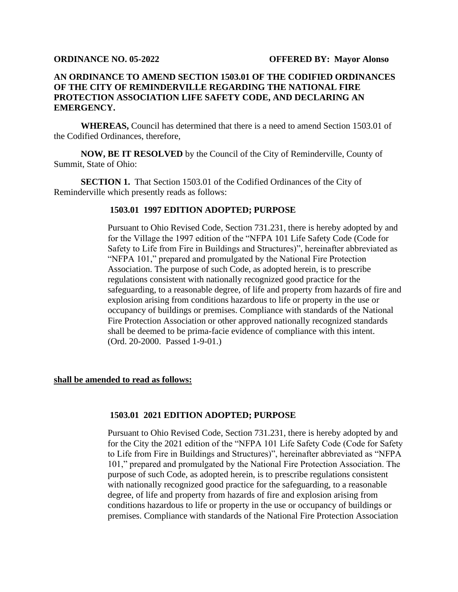## **AN ORDINANCE TO AMEND SECTION 1503.01 OF THE CODIFIED ORDINANCES OF THE CITY OF REMINDERVILLE REGARDING THE NATIONAL FIRE PROTECTION ASSOCIATION LIFE SAFETY CODE, AND DECLARING AN EMERGENCY.**

**WHEREAS,** Council has determined that there is a need to amend Section 1503.01 of the Codified Ordinances, therefore,

**NOW, BE IT RESOLVED** by the Council of the City of Reminderville, County of Summit, State of Ohio:

**SECTION 1.** That Section 1503.01 of the Codified Ordinances of the City of Reminderville which presently reads as follows:

## **1503.01 1997 EDITION ADOPTED; PURPOSE**

Pursuant to Ohio Revised Code, Section 731.231, there is hereby adopted by and for the Village the 1997 edition of the "NFPA 101 Life Safety Code (Code for Safety to Life from Fire in Buildings and Structures)", hereinafter abbreviated as "NFPA 101," prepared and promulgated by the National Fire Protection Association. The purpose of such Code, as adopted herein, is to prescribe regulations consistent with nationally recognized good practice for the safeguarding, to a reasonable degree, of life and property from hazards of fire and explosion arising from conditions hazardous to life or property in the use or occupancy of buildings or premises. Compliance with standards of the National Fire Protection Association or other approved nationally recognized standards shall be deemed to be prima-facie evidence of compliance with this intent. (Ord. 20-2000. Passed 1-9-01.)

## **shall be amended to read as follows:**

## **1503.01 2021 EDITION ADOPTED; PURPOSE**

Pursuant to Ohio Revised Code, Section 731.231, there is hereby adopted by and for the City the 2021 edition of the "NFPA 101 Life Safety Code (Code for Safety to Life from Fire in Buildings and Structures)", hereinafter abbreviated as "NFPA 101," prepared and promulgated by the National Fire Protection Association. The purpose of such Code, as adopted herein, is to prescribe regulations consistent with nationally recognized good practice for the safeguarding, to a reasonable degree, of life and property from hazards of fire and explosion arising from conditions hazardous to life or property in the use or occupancy of buildings or premises. Compliance with standards of the National Fire Protection Association